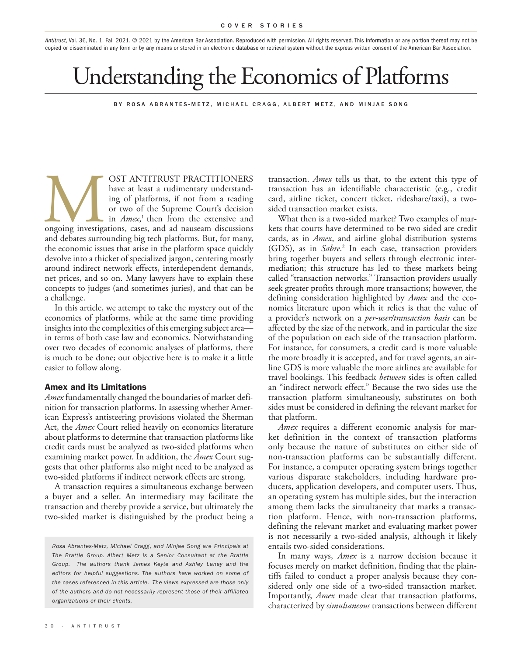*Antitrust*, Vol. 36, No. 1, Fall 2021. © 2021 by the American Bar Association. Reproduced with permission. All rights reserved. This information or any portion thereof may not be copied or disseminated in any form or by any means or stored in an electronic database or retrieval system without the express written consent of the American Bar Association.

# Understanding the Economics of Platforms

BY ROSA ABRANTES-METZ, MICHAEL CRAGG, ALBERT METZ, AND MINJAE SONG

OST ANTITRUST PRACTITIONERS<br>have at least a rudimentary understand-<br>ing of platforms, if not from a reading<br>or two of the Supreme Court's decision<br>in *Amex*,<sup>1</sup> then from the extensive and<br>ongoing investigations, cases, an have at least a rudimentary understanding of platforms, if not from a reading or two of the Supreme Court's decision in *Amex*, 1 then from the extensive and ongoing investigations, cases, and ad nauseam discussions and debates surrounding big tech platforms. But, for many, the economic issues that arise in the platform space quickly devolve into a thicket of specialized jargon, centering mostly around indirect network effects, interdependent demands, net prices, and so on. Many lawyers have to explain these concepts to judges (and sometimes juries), and that can be a challenge.

In this article, we attempt to take the mystery out of the economics of platforms, while at the same time providing insights into the complexities of this emerging subject area in terms of both case law and economics. Notwithstanding over two decades of economic analyses of platforms, there is much to be done; our objective here is to make it a little easier to follow along.

#### Amex and its Limitations

*Amex* fundamentally changed the boundaries of market definition for transaction platforms. In assessing whether American Express's antisteering provisions violated the Sherman Act, the *Amex* Court relied heavily on economics literature about platforms to determine that transaction platforms like credit cards must be analyzed as two-sided platforms when examining market power. In addition, the *Amex* Court suggests that other platforms also might need to be analyzed as two-sided platforms if indirect network effects are strong.

A transaction requires a simultaneous exchange between a buyer and a seller. An intermediary may facilitate the transaction and thereby provide a service, but ultimately the two-sided market is distinguished by the product being a

*Rosa Abrantes-Metz, Michael Cragg, and Minjae Song are Principals at The Brattle Group. Albert Metz is a Senior Consultant at the Brattle Group. The authors thank James Keyte and Ashley Laney and the editors for helpful suggestions. The authors have worked on some of the cases referenced in this article. The views expressed are those only of the authors and do not necessarily represent those of their affiliated organizations or their clients.*

transaction. *Amex* tells us that, to the extent this type of transaction has an identifiable characteristic (e.g., credit card, airline ticket, concert ticket, rideshare/taxi), a twosided transaction market exists.

What then is a two-sided market? Two examples of markets that courts have determined to be two sided are credit cards, as in *Amex*, and airline global distribution systems (GDS), as in *Sabre*. 2 In each case, transaction providers bring together buyers and sellers through electronic intermediation; this structure has led to these markets being called "transaction networks." Transaction providers usually seek greater profits through more transactions; however, the defining consideration highlighted by *Amex* and the economics literature upon which it relies is that the value of a provider's network on a *per-user/transaction basis* can be affected by the size of the network, and in particular the size of the population on each side of the transaction platform. For instance, for consumers, a credit card is more valuable the more broadly it is accepted, and for travel agents, an airline GDS is more valuable the more airlines are available for travel bookings. This feedback *between* sides is often called an "indirect network effect." Because the two sides use the transaction platform simultaneously, substitutes on both sides must be considered in defining the relevant market for that platform.

*Amex* requires a different economic analysis for market definition in the context of transaction platforms only because the nature of substitutes on either side of non-transaction platforms can be substantially different. For instance, a computer operating system brings together various disparate stakeholders, including hardware producers, application developers, and computer users. Thus, an operating system has multiple sides, but the interaction among them lacks the simultaneity that marks a transaction platform. Hence, with non-transaction platforms, defining the relevant market and evaluating market power is not necessarily a two-sided analysis, although it likely entails two-sided considerations.

In many ways, *Amex* is a narrow decision because it focuses merely on market definition, finding that the plaintiffs failed to conduct a proper analysis because they considered only one side of a two-sided transaction market. Importantly, *Amex* made clear that transaction platforms, characterized by *simultaneous* transactions between different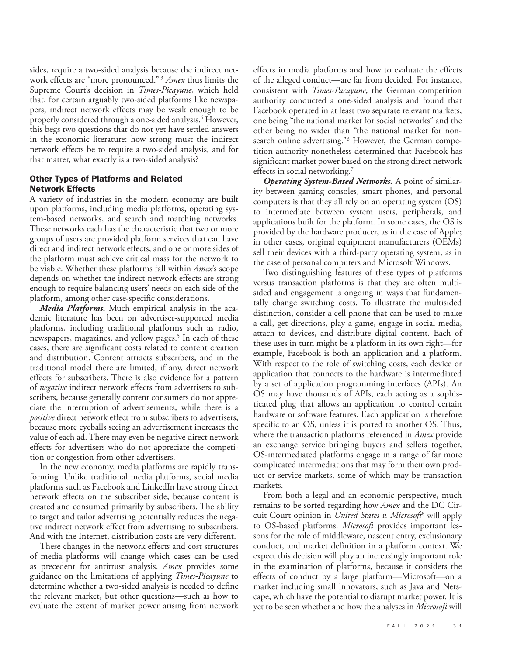sides, require a two-sided analysis because the indirect network effects are "more pronounced." 3 *Amex* thus limits the Supreme Court's decision in *Times-Picayune*, which held that, for certain arguably two-sided platforms like newspapers, indirect network effects may be weak enough to be properly considered through a one-sided analysis. 4 However, this begs two questions that do not yet have settled answers in the economic literature: how strong must the indirect network effects be to require a two-sided analysis, and for that matter, what exactly is a two-sided analysis?

## Other Types of Platforms and Related Network Effects

A variety of industries in the modern economy are built upon platforms, including media platforms, operating system-based networks, and search and matching networks. These networks each has the characteristic that two or more groups of users are provided platform services that can have direct and indirect network effects, and one or more sides of the platform must achieve critical mass for the network to be viable. Whether these platforms fall within *Amex*'s scope depends on whether the indirect network effects are strong enough to require balancing users' needs on each side of the platform, among other case-specific considerations.

*Media Platforms.* Much empirical analysis in the academic literature has been on advertiser-supported media platforms, including traditional platforms such as radio, newspapers, magazines, and yellow pages. 5 In each of these cases, there are significant costs related to content creation and distribution. Content attracts subscribers, and in the traditional model there are limited, if any, direct network effects for subscribers. There is also evidence for a pattern of *negative* indirect network effects from advertisers to subscribers, because generally content consumers do not appreciate the interruption of advertisements, while there is a *positive* direct network effect from subscribers to advertisers, because more eyeballs seeing an advertisement increases the value of each ad. There may even be negative direct network effects for advertisers who do not appreciate the competition or congestion from other advertisers.

In the new economy, media platforms are rapidly transforming. Unlike traditional media platforms, social media platforms such as Facebook and LinkedIn have strong direct network effects on the subscriber side, because content is created and consumed primarily by subscribers. The ability to target and tailor advertising potentially reduces the negative indirect network effect from advertising to subscribers. And with the Internet, distribution costs are very different.

These changes in the network effects and cost structures of media platforms will change which cases can be used as precedent for antitrust analysis. *Amex* provides some guidance on the limitations of applying *Times-Picayune* to determine whether a two-sided analysis is needed to define the relevant market, but other questions—such as how to evaluate the extent of market power arising from network effects in media platforms and how to evaluate the effects of the alleged conduct—are far from decided. For instance, consistent with *Times-Pacayune*, the German competition authority conducted a one-sided analysis and found that Facebook operated in at least two separate relevant markets, one being "the national market for social networks" and the other being no wider than "the national market for nonsearch online advertising."6 However, the German competition authority nonetheless determined that Facebook has significant market power based on the strong direct network effects in social networking. 7

*Operating System-Based Networks.* A point of similarity between gaming consoles, smart phones, and personal computers is that they all rely on an operating system (OS) to intermediate between system users, peripherals, and applications built for the platform. In some cases, the OS is provided by the hardware producer, as in the case of Apple; in other cases, original equipment manufacturers (OEMs) sell their devices with a third-party operating system, as in the case of personal computers and Microsoft Windows.

Two distinguishing features of these types of platforms versus transaction platforms is that they are often multisided and engagement is ongoing in ways that fundamentally change switching costs. To illustrate the multisided distinction, consider a cell phone that can be used to make a call, get directions, play a game, engage in social media, attach to devices, and distribute digital content. Each of these uses in turn might be a platform in its own right—for example, Facebook is both an application and a platform. With respect to the role of switching costs, each device or application that connects to the hardware is intermediated by a set of application programming interfaces (APIs). An OS may have thousands of APIs, each acting as a sophisticated plug that allows an application to control certain hardware or software features. Each application is therefore specific to an OS, unless it is ported to another OS. Thus, where the transaction platforms referenced in *Amex* provide an exchange service bringing buyers and sellers together, OS-intermediated platforms engage in a range of far more complicated intermediations that may form their own product or service markets, some of which may be transaction markets.

From both a legal and an economic perspective, much remains to be sorted regarding how *Amex* and the DC Circuit Court opinion in *United States v. Microsoft*<sup>8</sup> will apply to OS-based platforms. *Microsoft* provides important lessons for the role of middleware, nascent entry, exclusionary conduct, and market definition in a platform context. We expect this decision will play an increasingly important role in the examination of platforms, because it considers the effects of conduct by a large platform—Microsoft—on a market including small innovators, such as Java and Netscape, which have the potential to disrupt market power. It is yet to be seen whether and how the analyses in *Microsoft* will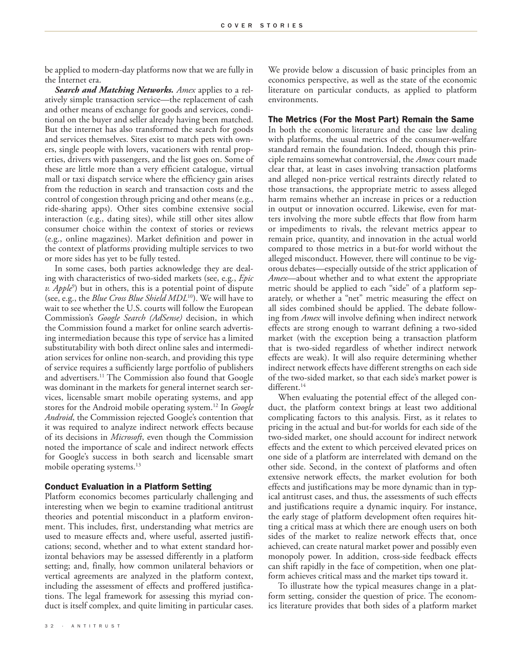be applied to modern-day platforms now that we are fully in the Internet era.

*Search and Matching Networks. Amex* applies to a relatively simple transaction service—the replacement of cash and other means of exchange for goods and services, conditional on the buyer and seller already having been matched. But the internet has also transformed the search for goods and services themselves. Sites exist to match pets with owners, single people with lovers, vacationers with rental properties, drivers with passengers, and the list goes on. Some of these are little more than a very efficient catalogue, virtual mall or taxi dispatch service where the efficiency gain arises from the reduction in search and transaction costs and the control of congestion through pricing and other means (e.g., ride-sharing apps). Other sites combine extensive social interaction (e.g., dating sites), while still other sites allow consumer choice within the context of stories or reviews (e.g., online magazines). Market definition and power in the context of platforms providing multiple services to two or more sides has yet to be fully tested.

In some cases, both parties acknowledge they are dealing with characteristics of two-sided markets (see, e.g., *Epic v. Apple<sup>9</sup>*) but in others, this is a potential point of dispute (see, e.g., the *Blue Cross Blue Shield MDL*10). We will have to wait to see whether the U.S. courts will follow the European Commission's *Google Search (AdSense)* decision, in which the Commission found a market for online search advertising intermediation because this type of service has a limited substitutability with both direct online sales and intermediation services for online non-search, and providing this type of service requires a sufficiently large portfolio of publishers and advertisers. 11 The Commission also found that Google was dominant in the markets for general internet search services, licensable smart mobile operating systems, and app stores for the Android mobile operating system. 12 In *Google Android*, the Commission rejected Google's contention that it was required to analyze indirect network effects because of its decisions in *Microsoft*, even though the Commission noted the importance of scale and indirect network effects for Google's success in both search and licensable smart mobile operating systems. 13

### Conduct Evaluation in a Platform Setting

Platform economics becomes particularly challenging and interesting when we begin to examine traditional antitrust theories and potential misconduct in a platform environment. This includes, first, understanding what metrics are used to measure effects and, where useful, asserted justifications; second, whether and to what extent standard horizontal behaviors may be assessed differently in a platform setting; and, finally, how common unilateral behaviors or vertical agreements are analyzed in the platform context, including the assessment of effects and proffered justifications. The legal framework for assessing this myriad conduct is itself complex, and quite limiting in particular cases.

We provide below a discussion of basic principles from an economics perspective, as well as the state of the economic literature on particular conducts, as applied to platform environments.

#### The Metrics (For the Most Part) Remain the Same

In both the economic literature and the case law dealing with platforms, the usual metrics of the consumer-welfare standard remain the foundation. Indeed, though this principle remains somewhat controversial, the *Amex* court made clear that, at least in cases involving transaction platforms and alleged non-price vertical restraints directly related to those transactions, the appropriate metric to assess alleged harm remains whether an increase in prices or a reduction in output or innovation occurred. Likewise, even for matters involving the more subtle effects that flow from harm or impediments to rivals, the relevant metrics appear to remain price, quantity, and innovation in the actual world compared to those metrics in a but-for world without the alleged misconduct. However, there will continue to be vigorous debates—especially outside of the strict application of *Amex*—about whether and to what extent the appropriate metric should be applied to each "side" of a platform separately, or whether a "net" metric measuring the effect on all sides combined should be applied. The debate following from *Amex* will involve defining when indirect network effects are strong enough to warrant defining a two-sided market (with the exception being a transaction platform that is two-sided regardless of whether indirect network effects are weak). It will also require determining whether indirect network effects have different strengths on each side of the two-sided market, so that each side's market power is different. 14

When evaluating the potential effect of the alleged conduct, the platform context brings at least two additional complicating factors to this analysis. First, as it relates to pricing in the actual and but-for worlds for each side of the two-sided market, one should account for indirect network effects and the extent to which perceived elevated prices on one side of a platform are interrelated with demand on the other side. Second, in the context of platforms and often extensive network effects, the market evolution for both effects and justifications may be more dynamic than in typical antitrust cases, and thus, the assessments of such effects and justifications require a dynamic inquiry. For instance, the early stage of platform development often requires hitting a critical mass at which there are enough users on both sides of the market to realize network effects that, once achieved, can create natural market power and possibly even monopoly power. In addition, cross-side feedback effects can shift rapidly in the face of competition, when one platform achieves critical mass and the market tips toward it.

To illustrate how the typical measures change in a platform setting, consider the question of price. The economics literature provides that both sides of a platform market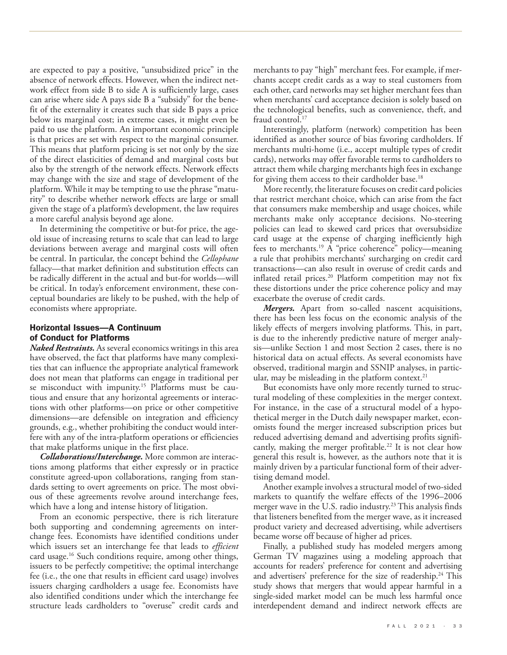are expected to pay a positive, "unsubsidized price" in the absence of network effects. However, when the indirect network effect from side B to side A is sufficiently large, cases can arise where side A pays side B a "subsidy" for the benefit of the externality it creates such that side B pays a price below its marginal cost; in extreme cases, it might even be paid to use the platform. An important economic principle is that prices are set with respect to the marginal consumer. This means that platform pricing is set not only by the size of the direct elasticities of demand and marginal costs but also by the strength of the network effects. Network effects may change with the size and stage of development of the platform. While it may be tempting to use the phrase "maturity" to describe whether network effects are large or small given the stage of a platform's development, the law requires a more careful analysis beyond age alone.

In determining the competitive or but-for price, the ageold issue of increasing returns to scale that can lead to large deviations between average and marginal costs will often be central. In particular, the concept behind the *Cellophane* fallacy—that market definition and substitution effects can be radically different in the actual and but-for worlds—will be critical. In today's enforcement environment, these conceptual boundaries are likely to be pushed, with the help of economists where appropriate.

## Horizontal Issues—A Continuum of Conduct for Platforms

*Naked Restraints.* As several economics writings in this area have observed, the fact that platforms have many complexities that can influence the appropriate analytical framework does not mean that platforms can engage in traditional per se misconduct with impunity. 15 Platforms must be cautious and ensure that any horizontal agreements or interactions with other platforms—on price or other competitive dimensions—are defensible on integration and efficiency grounds, e.g., whether prohibiting the conduct would interfere with any of the intra-platform operations or efficiencies that make platforms unique in the first place.

*Collaborations/Interchange.* More common are interactions among platforms that either expressly or in practice constitute agreed-upon collaborations, ranging from standards setting to overt agreements on price. The most obvious of these agreements revolve around interchange fees, which have a long and intense history of litigation.

From an economic perspective, there is rich literature both supporting and condemning agreements on interchange fees. Economists have identified conditions under which issuers set an interchange fee that leads to *efficient* card usage. 16 Such conditions require, among other things, issuers to be perfectly competitive; the optimal interchange fee (i.e., the one that results in efficient card usage) involves issuers charging cardholders a usage fee. Economists have also identified conditions under which the interchange fee structure leads cardholders to "overuse" credit cards and

merchants to pay "high" merchant fees. For example, if merchants accept credit cards as a way to steal customers from each other, card networks may set higher merchant fees than when merchants' card acceptance decision is solely based on the technological benefits, such as convenience, theft, and fraud control. 17

Interestingly, platform (network) competition has been identified as another source of bias favoring cardholders. If merchants multi-home (i.e., accept multiple types of credit cards), networks may offer favorable terms to cardholders to attract them while charging merchants high fees in exchange for giving them access to their cardholder base.<sup>18</sup>

More recently, the literature focuses on credit card policies that restrict merchant choice, which can arise from the fact that consumers make membership and usage choices, while merchants make only acceptance decisions. No-steering policies can lead to skewed card prices that oversubsidize card usage at the expense of charging inefficiently high fees to merchants. 19 A "price coherence" policy—meaning a rule that prohibits merchants' surcharging on credit card transactions—can also result in overuse of credit cards and inflated retail prices. 20 Platform competition may not fix these distortions under the price coherence policy and may exacerbate the overuse of credit cards.

*Mergers.* Apart from so-called nascent acquisitions, there has been less focus on the economic analysis of the likely effects of mergers involving platforms. This, in part, is due to the inherently predictive nature of merger analysis—unlike Section 1 and most Section 2 cases, there is no historical data on actual effects. As several economists have observed, traditional margin and SSNIP analyses, in particular, may be misleading in the platform context. 21

But economists have only more recently turned to structural modeling of these complexities in the merger context. For instance, in the case of a structural model of a hypothetical merger in the Dutch daily newspaper market, economists found the merger increased subscription prices but reduced advertising demand and advertising profits significantly, making the merger profitable. 22 It is not clear how general this result is, however, as the authors note that it is mainly driven by a particular functional form of their advertising demand model.

Another example involves a structural model of two-sided markets to quantify the welfare effects of the 1996–2006 merger wave in the U.S. radio industry. 23 This analysis finds that listeners benefited from the merger wave, as it increased product variety and decreased advertising, while advertisers became worse off because of higher ad prices.

Finally, a published study has modeled mergers among German TV magazines using a modeling approach that accounts for readers' preference for content and advertising and advertisers' preference for the size of readership.<sup>24</sup> This study shows that mergers that would appear harmful in a single-sided market model can be much less harmful once interdependent demand and indirect network effects are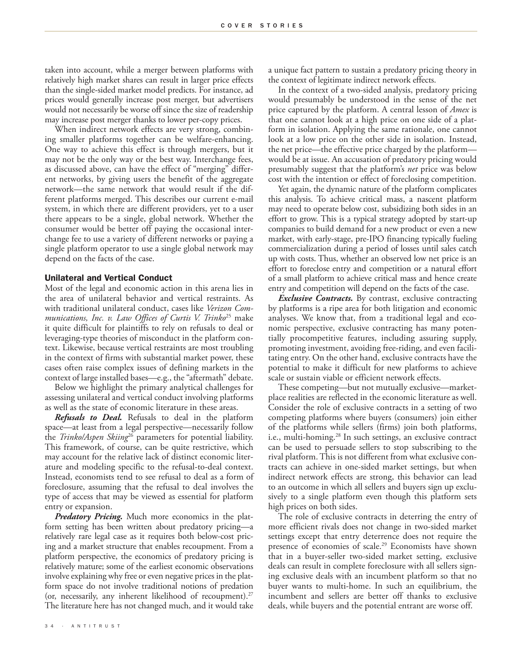taken into account, while a merger between platforms with relatively high market shares can result in larger price effects than the single-sided market model predicts. For instance, ad prices would generally increase post merger, but advertisers would not necessarily be worse off since the size of readership may increase post merger thanks to lower per-copy prices.

When indirect network effects are very strong, combining smaller platforms together can be welfare-enhancing. One way to achieve this effect is through mergers, but it may not be the only way or the best way. Interchange fees, as discussed above, can have the effect of "merging" different networks, by giving users the benefit of the aggregate network—the same network that would result if the different platforms merged. This describes our current e-mail system, in which there are different providers, yet to a user there appears to be a single, global network. Whether the consumer would be better off paying the occasional interchange fee to use a variety of different networks or paying a single platform operator to use a single global network may depend on the facts of the case.

#### Unilateral and Vertical Conduct

Most of the legal and economic action in this arena lies in the area of unilateral behavior and vertical restraints. As with traditional unilateral conduct, cases like *Verizon Communications, Inc. v. Law Offices of Curtis V. Trinko*25 make it quite difficult for plaintiffs to rely on refusals to deal or leveraging-type theories of misconduct in the platform context. Likewise, because vertical restraints are most troubling in the context of firms with substantial market power, these cases often raise complex issues of defining markets in the context of large installed bases—e.g., the "aftermath" debate.

Below we highlight the primary analytical challenges for assessing unilateral and vertical conduct involving platforms as well as the state of economic literature in these areas.

*Refusals to Deal.* Refusals to deal in the platform space—at least from a legal perspective—necessarily follow the *Trinko/Aspen Skiing*26 parameters for potential liability. This framework, of course, can be quite restrictive, which may account for the relative lack of distinct economic literature and modeling specific to the refusal-to-deal context. Instead, economists tend to see refusal to deal as a form of foreclosure, assuming that the refusal to deal involves the type of access that may be viewed as essential for platform entry or expansion.

*Predatory Pricing.* Much more economics in the platform setting has been written about predatory pricing—a relatively rare legal case as it requires both below-cost pricing and a market structure that enables recoupment. From a platform perspective, the economics of predatory pricing is relatively mature; some of the earliest economic observations involve explaining why free or even negative prices in the platform space do not involve traditional notions of predation (or, necessarily, any inherent likelihood of recoupment). 27 The literature here has not changed much, and it would take a unique fact pattern to sustain a predatory pricing theory in the context of legitimate indirect network effects.

In the context of a two-sided analysis, predatory pricing would presumably be understood in the sense of the net price captured by the platform. A central lesson of *Amex* is that one cannot look at a high price on one side of a platform in isolation. Applying the same rationale, one cannot look at a low price on the other side in isolation. Instead, the net price—the effective price charged by the platform would be at issue. An accusation of predatory pricing would presumably suggest that the platform's *net* price was below cost with the intention or effect of foreclosing competition.

Yet again, the dynamic nature of the platform complicates this analysis. To achieve critical mass, a nascent platform may need to operate below cost, subsidizing both sides in an effort to grow. This is a typical strategy adopted by start-up companies to build demand for a new product or even a new market, with early-stage, pre-IPO financing typically fueling commercialization during a period of losses until sales catch up with costs. Thus, whether an observed low net price is an effort to foreclose entry and competition or a natural effort of a small platform to achieve critical mass and hence create entry and competition will depend on the facts of the case.

*Exclusive Contracts.* By contrast, exclusive contracting by platforms is a ripe area for both litigation and economic analyses. We know that, from a traditional legal and economic perspective, exclusive contracting has many potentially procompetitive features, including assuring supply, promoting investment, avoiding free-riding, and even facilitating entry. On the other hand, exclusive contracts have the potential to make it difficult for new platforms to achieve scale or sustain viable or efficient network effects.

These competing—but not mutually exclusive—marketplace realities are reflected in the economic literature as well. Consider the role of exclusive contracts in a setting of two competing platforms where buyers (consumers) join either of the platforms while sellers (firms) join both platforms, i.e., multi-homing. 28 In such settings, an exclusive contract can be used to persuade sellers to stop subscribing to the rival platform. This is not different from what exclusive contracts can achieve in one-sided market settings, but when indirect network effects are strong, this behavior can lead to an outcome in which all sellers and buyers sign up exclusively to a single platform even though this platform sets high prices on both sides.

The role of exclusive contracts in deterring the entry of more efficient rivals does not change in two-sided market settings except that entry deterrence does not require the presence of economies of scale. 29 Economists have shown that in a buyer-seller two-sided market setting, exclusive deals can result in complete foreclosure with all sellers signing exclusive deals with an incumbent platform so that no buyer wants to multi-home. In such an equilibrium, the incumbent and sellers are better off thanks to exclusive deals, while buyers and the potential entrant are worse off.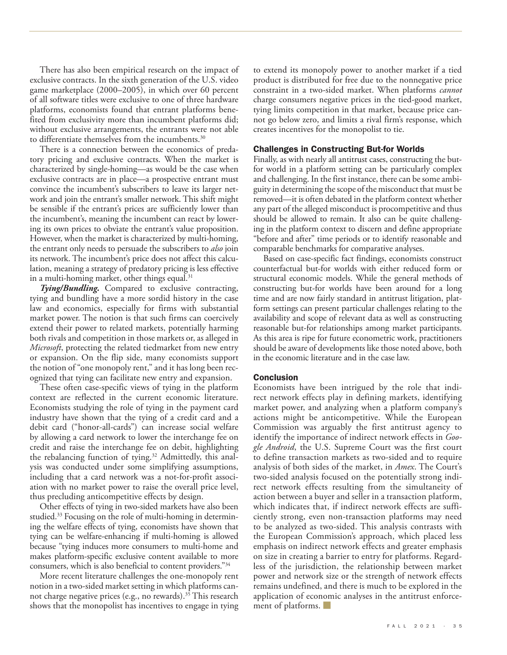There has also been empirical research on the impact of exclusive contracts. In the sixth generation of the U.S. video game marketplace (2000–2005), in which over 60 percent of all software titles were exclusive to one of three hardware platforms, economists found that entrant platforms benefited from exclusivity more than incumbent platforms did; without exclusive arrangements, the entrants were not able to differentiate themselves from the incumbents. 30

There is a connection between the economics of predatory pricing and exclusive contracts. When the market is characterized by single-homing—as would be the case when exclusive contracts are in place—a prospective entrant must convince the incumbent's subscribers to leave its larger network and join the entrant's smaller network. This shift might be sensible if the entrant's prices are sufficiently lower than the incumbent's, meaning the incumbent can react by lowering its own prices to obviate the entrant's value proposition. However, when the market is characterized by multi-homing, the entrant only needs to persuade the subscribers to *also* join its network. The incumbent's price does not affect this calculation, meaning a strategy of predatory pricing is less effective in a multi-homing market, other things equal.<sup>31</sup>

*Tying/Bundling.* Compared to exclusive contracting, tying and bundling have a more sordid history in the case law and economics, especially for firms with substantial market power. The notion is that such firms can coercively extend their power to related markets, potentially harming both rivals and competition in those markets or, as alleged in *Microsoft*, protecting the related tiedmarket from new entry or expansion. On the flip side, many economists support the notion of "one monopoly rent," and it has long been recognized that tying can facilitate new entry and expansion.

These often case-specific views of tying in the platform context are reflected in the current economic literature. Economists studying the role of tying in the payment card industry have shown that the tying of a credit card and a debit card ("honor-all-cards") can increase social welfare by allowing a card network to lower the interchange fee on credit and raise the interchange fee on debit, highlighting the rebalancing function of tying. 32 Admittedly, this analysis was conducted under some simplifying assumptions, including that a card network was a not-for-profit association with no market power to raise the overall price level, thus precluding anticompetitive effects by design.

Other effects of tying in two-sided markets have also been studied. 33 Focusing on the role of multi-homing in determining the welfare effects of tying, economists have shown that tying can be welfare-enhancing if multi-homing is allowed because "tying induces more consumers to multi-home and makes platform-specific exclusive content available to more consumers, which is also beneficial to content providers."34

More recent literature challenges the one-monopoly rent notion in a two-sided market setting in which platforms cannot charge negative prices (e.g., no rewards). 35 This research shows that the monopolist has incentives to engage in tying

to extend its monopoly power to another market if a tied product is distributed for free due to the nonnegative price constraint in a two-sided market. When platforms *cannot* charge consumers negative prices in the tied-good market, tying limits competition in that market, because price cannot go below zero, and limits a rival firm's response, which creates incentives for the monopolist to tie.

#### Challenges in Constructing But-for Worlds

Finally, as with nearly all antitrust cases, constructing the butfor world in a platform setting can be particularly complex and challenging. In the first instance, there can be some ambiguity in determining the scope of the misconduct that must be removed—it is often debated in the platform context whether any part of the alleged misconduct is procompetitive and thus should be allowed to remain. It also can be quite challenging in the platform context to discern and define appropriate "before and after" time periods or to identify reasonable and comparable benchmarks for comparative analyses.

Based on case-specific fact findings, economists construct counterfactual but-for worlds with either reduced form or structural economic models. While the general methods of constructing but-for worlds have been around for a long time and are now fairly standard in antitrust litigation, platform settings can present particular challenges relating to the availability and scope of relevant data as well as constructing reasonable but-for relationships among market participants. As this area is ripe for future econometric work, practitioners should be aware of developments like those noted above, both in the economic literature and in the case law.

#### **Conclusion**

Economists have been intrigued by the role that indirect network effects play in defining markets, identifying market power, and analyzing when a platform company's actions might be anticompetitive. While the European Commission was arguably the first antitrust agency to identify the importance of indirect network effects in *Google Android*, the U.S. Supreme Court was the first court to define transaction markets as two-sided and to require analysis of both sides of the market, in *Amex*. The Court's two-sided analysis focused on the potentially strong indirect network effects resulting from the simultaneity of action between a buyer and seller in a transaction platform, which indicates that, if indirect network effects are sufficiently strong, even non-transaction platforms may need to be analyzed as two-sided. This analysis contrasts with the European Commission's approach, which placed less emphasis on indirect network effects and greater emphasis on size in creating a barrier to entry for platforms. Regardless of the jurisdiction, the relationship between market power and network size or the strength of network effects remains undefined, and there is much to be explored in the application of economic analyses in the antitrust enforcement of platforms.